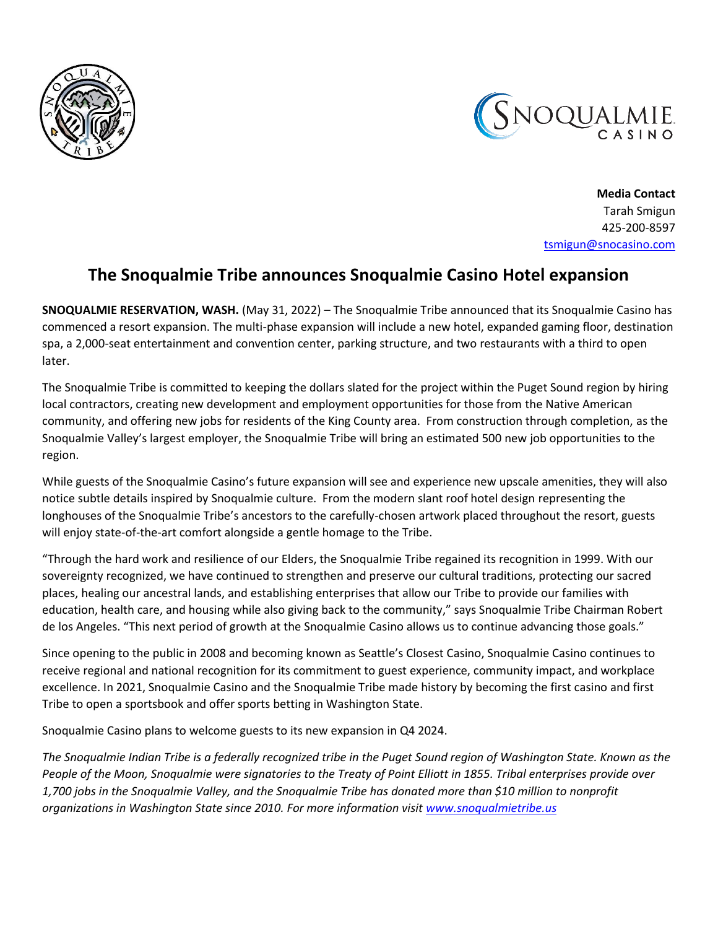



**Media Contact** Tarah Smigun 425-200-8597 [tsmigun@snocasino.com](mailto:tsmigun@snocasino.com)

## **The Snoqualmie Tribe announces Snoqualmie Casino Hotel expansion**

**SNOQUALMIE RESERVATION, WASH.** (May 31, 2022) – The Snoqualmie Tribe announced that its Snoqualmie Casino has commenced a resort expansion. The multi-phase expansion will include a new hotel, expanded gaming floor, destination spa, a 2,000-seat entertainment and convention center, parking structure, and two restaurants with a third to open later.

The Snoqualmie Tribe is committed to keeping the dollars slated for the project within the Puget Sound region by hiring local contractors, creating new development and employment opportunities for those from the Native American community, and offering new jobs for residents of the King County area. From construction through completion, as the Snoqualmie Valley's largest employer, the Snoqualmie Tribe will bring an estimated 500 new job opportunities to the region.

While guests of the Snoqualmie Casino's future expansion will see and experience new upscale amenities, they will also notice subtle details inspired by Snoqualmie culture. From the modern slant roof hotel design representing the longhouses of the Snoqualmie Tribe's ancestors to the carefully-chosen artwork placed throughout the resort, guests will enjoy state-of-the-art comfort alongside a gentle homage to the Tribe.

"Through the hard work and resilience of our Elders, the Snoqualmie Tribe regained its recognition in 1999. With our sovereignty recognized, we have continued to strengthen and preserve our cultural traditions, protecting our sacred places, healing our ancestral lands, and establishing enterprises that allow our Tribe to provide our families with education, health care, and housing while also giving back to the community," says Snoqualmie Tribe Chairman Robert de los Angeles. "This next period of growth at the Snoqualmie Casino allows us to continue advancing those goals."

Since opening to the public in 2008 and becoming known as Seattle's Closest Casino, Snoqualmie Casino continues to receive regional and national recognition for its commitment to guest experience, community impact, and workplace excellence. In 2021, Snoqualmie Casino and the Snoqualmie Tribe made history by becoming the first casino and first Tribe to open a sportsbook and offer sports betting in Washington State.

Snoqualmie Casino plans to welcome guests to its new expansion in Q4 2024.

*The Snoqualmie Indian Tribe is a federally recognized tribe in the Puget Sound region of Washington State. Known as the People of the Moon, Snoqualmie were signatories to the Treaty of Point Elliott in 1855. Tribal enterprises provide over 1,700 jobs in the Snoqualmie Valley, and the Snoqualmie Tribe has donated more than \$10 million to nonprofit organizations in Washington State since 2010. For more information visit [www.snoqualmietribe.us](https://urldefense.com/v3/__http:/www.snoqualmietribe.us__;!!OviizPKLMQNe8WsS!JfBUODZAUC_-ZLVVgtFH8nFCCWnis5TbzGe2vl9KpuqM8zF5GDo5Hvc9M04pg6PJnO8yZZ7LaZrtetGvon9ui35eMqp6HtbU$)*